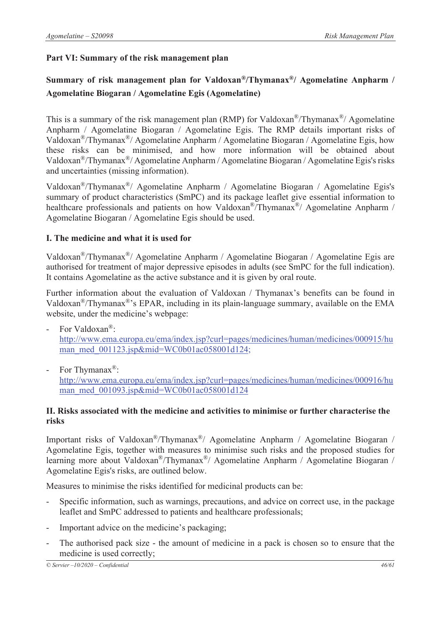## **Part VI: Summary of the risk management plan**

# **Summary of risk management plan for Valdoxan®/Thymanax®/ Agomelatine Anpharm / Agomelatine Biogaran / Agomelatine Egis (Agomelatine)**

This is a summary of the risk management plan (RMP) for Valdoxan<sup>®</sup>/Thymanax<sup>®</sup>/ Agomelatine Anpharm / Agomelatine Biogaran / Agomelatine Egis. The RMP details important risks of Valdoxan®/Thymanax®/ Agomelatine Anpharm / Agomelatine Biogaran / Agomelatine Egis, how these risks can be minimised, and how more information will be obtained about Valdoxan®/Thymanax®/ Agomelatine Anpharm / Agomelatine Biogaran / Agomelatine Egis's risks and uncertainties (missing information).

Valdoxan®/Thymanax®/ Agomelatine Anpharm / Agomelatine Biogaran / Agomelatine Egis's summary of product characteristics (SmPC) and its package leaflet give essential information to healthcare professionals and patients on how Valdoxan<sup>®</sup>/Thymanax<sup>®</sup>/ Agomelatine Anpharm / Agomelatine Biogaran / Agomelatine Egis should be used.

## **I. The medicine and what it is used for**

Valdoxan®/Thymanax®/ Agomelatine Anpharm / Agomelatine Biogaran / Agomelatine Egis are authorised for treatment of major depressive episodes in adults (see SmPC for the full indication). It contains Agomelatine as the active substance and it is given by oral route.

Further information about the evaluation of Valdoxan / Thymanax's benefits can be found in Valdoxan®/Thymanax®'s EPAR, including in its plain-language summary, available on the EMA website, under the medicine's webpage:

- For Valdoxan<sup>®</sup>: http://www.ema.europa.eu/ema/index.jsp?curl=pages/medicines/human/medicines/000915/hu man\_med\_001123.jsp&mid=WC0b01ac058001d124;
- For Thymanax<sup>®</sup>:

http://www.ema.europa.eu/ema/index.jsp?curl=pages/medicines/human/medicines/000916/hu man\_med\_001093.jsp&mid=WC0b01ac058001d124

#### **II. Risks associated with the medicine and activities to minimise or further characterise the risks**

Important risks of Valdoxan®/Thymanax®/ Agomelatine Anpharm / Agomelatine Biogaran / Agomelatine Egis, together with measures to minimise such risks and the proposed studies for learning more about Valdoxan<sup>®</sup>/Thymanax<sup>®</sup>/ Agomelatine Anpharm / Agomelatine Biogaran / Agomelatine Egis's risks, are outlined below.

Measures to minimise the risks identified for medicinal products can be:

- Specific information, such as warnings, precautions, and advice on correct use, in the package leaflet and SmPC addressed to patients and healthcare professionals;
- Important advice on the medicine's packaging;
- The authorised pack size the amount of medicine in a pack is chosen so to ensure that the medicine is used correctly;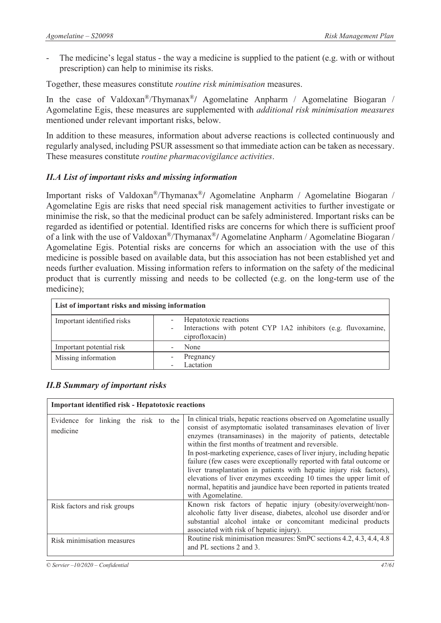The medicine's legal status - the way a medicine is supplied to the patient (e.g. with or without prescription) can help to minimise its risks.

Together, these measures constitute *routine risk minimisation* measures.

In the case of Valdoxan®/Thymanax®**/** Agomelatine Anpharm / Agomelatine Biogaran / Agomelatine Egis, these measures are supplemented with *additional risk minimisation measures* mentioned under relevant important risks, below.

In addition to these measures, information about adverse reactions is collected continuously and regularly analysed, including PSUR assessment so that immediate action can be taken as necessary. These measures constitute *routine pharmacovigilance activities*.

## *II.A List of important risks and missing information*

Important risks of Valdoxan®/Thymanax®**/** Agomelatine Anpharm / Agomelatine Biogaran / Agomelatine Egis are risks that need special risk management activities to further investigate or minimise the risk, so that the medicinal product can be safely administered. Important risks can be regarded as identified or potential. Identified risks are concerns for which there is sufficient proof of a link with the use of Valdoxan®/Thymanax®**/** Agomelatine Anpharm / Agomelatine Biogaran / Agomelatine Egis. Potential risks are concerns for which an association with the use of this medicine is possible based on available data, but this association has not been established yet and needs further evaluation. Missing information refers to information on the safety of the medicinal product that is currently missing and needs to be collected (e.g. on the long-term use of the medicine);

| List of important risks and missing information |                                                                                                           |
|-------------------------------------------------|-----------------------------------------------------------------------------------------------------------|
| Important identified risks                      | Hepatotoxic reactions<br>Interactions with potent CYP 1A2 inhibitors (e.g. fluvoxamine,<br>ciprofloxacin) |
| Important potential risk                        | None                                                                                                      |
| Missing information                             | Pregnancy<br>Lactation                                                                                    |

| <b>Important identified risk - Hepatotoxic reactions</b> |                                                                                                                                                                                                                                                                                                                                                                                                                                                                                                                                                                                                                                                                    |  |
|----------------------------------------------------------|--------------------------------------------------------------------------------------------------------------------------------------------------------------------------------------------------------------------------------------------------------------------------------------------------------------------------------------------------------------------------------------------------------------------------------------------------------------------------------------------------------------------------------------------------------------------------------------------------------------------------------------------------------------------|--|
| Evidence for linking the risk to the<br>medicine         | In clinical trials, hepatic reactions observed on Agomelatine usually<br>consist of asymptomatic isolated transaminases elevation of liver<br>enzymes (transaminases) in the majority of patients, detectable<br>within the first months of treatment and reversible.<br>In post-marketing experience, cases of liver injury, including hepatic<br>failure (few cases were exceptionally reported with fatal outcome or<br>liver transplantation in patients with hepatic injury risk factors),<br>elevations of liver enzymes exceeding 10 times the upper limit of<br>normal, hepatitis and jaundice have been reported in patients treated<br>with Agomelatine. |  |
| Risk factors and risk groups                             | Known risk factors of hepatic injury (obesity/overweight/non-<br>alcoholic fatty liver disease, diabetes, alcohol use disorder and/or<br>substantial alcohol intake or concomitant medicinal products<br>associated with risk of hepatic injury).                                                                                                                                                                                                                                                                                                                                                                                                                  |  |
| Risk minimisation measures                               | Routine risk minimisation measures: SmPC sections 4.2, 4.3, 4.4, 4.8<br>and PL sections 2 and 3.                                                                                                                                                                                                                                                                                                                                                                                                                                                                                                                                                                   |  |

# *II.B Summary of important risks*

*© Servier –10/2020 – Confidential 47/61*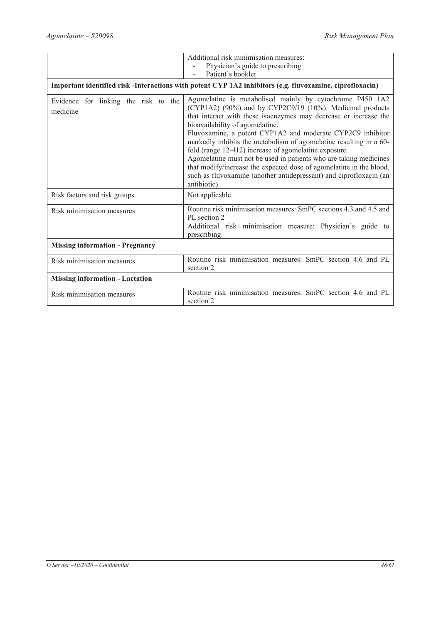|                                                                                                         | Additional risk minimisation measures:                                                                                                                                                                                                                                                                                                                                                                                                                                                                                                                                                                                                                      |  |
|---------------------------------------------------------------------------------------------------------|-------------------------------------------------------------------------------------------------------------------------------------------------------------------------------------------------------------------------------------------------------------------------------------------------------------------------------------------------------------------------------------------------------------------------------------------------------------------------------------------------------------------------------------------------------------------------------------------------------------------------------------------------------------|--|
|                                                                                                         | Physician's guide to prescribing                                                                                                                                                                                                                                                                                                                                                                                                                                                                                                                                                                                                                            |  |
|                                                                                                         | Patient's booklet                                                                                                                                                                                                                                                                                                                                                                                                                                                                                                                                                                                                                                           |  |
| Important identified risk-Interactions with potent CYP 1A2 inhibitors (e.g. fluvoxamine, ciprofloxacin) |                                                                                                                                                                                                                                                                                                                                                                                                                                                                                                                                                                                                                                                             |  |
| Evidence for linking the risk to the<br>medicine                                                        | Agomelatine is metabolised mainly by cytochrome P450 1A2<br>(CYP1A2) (90%) and by CYP2C9/19 (10%). Medicinal products<br>that interact with these isoenzymes may decrease or increase the<br>bioavailability of agomelatine.<br>Fluvoxamine, a potent CYP1A2 and moderate CYP2C9 inhibitor<br>markedly inhibits the metabolism of agomelatine resulting in a 60-<br>fold (range 12-412) increase of agomelatine exposure.<br>Agomelatine must not be used in patients who are taking medicines<br>that modify/increase the expected dose of agomelatine in the blood,<br>such as fluvoxamine (another antidepressant) and ciprofloxacin (an<br>antibiotic). |  |
| Risk factors and risk groups                                                                            | Not applicable.                                                                                                                                                                                                                                                                                                                                                                                                                                                                                                                                                                                                                                             |  |
| Risk minimisation measures                                                                              | Routine risk minimisation measures: SmPC sections 4.3 and 4.5 and<br>PL section 2<br>Additional risk minimisation measure: Physician's guide to<br>prescribing                                                                                                                                                                                                                                                                                                                                                                                                                                                                                              |  |
| <b>Missing information - Pregnancy</b>                                                                  |                                                                                                                                                                                                                                                                                                                                                                                                                                                                                                                                                                                                                                                             |  |
| Risk minimisation measures                                                                              | Routine risk minimisation measures: SmPC section 4.6 and PL<br>section 2                                                                                                                                                                                                                                                                                                                                                                                                                                                                                                                                                                                    |  |
| <b>Missing information - Lactation</b>                                                                  |                                                                                                                                                                                                                                                                                                                                                                                                                                                                                                                                                                                                                                                             |  |
| Risk minimisation measures                                                                              | Routine risk minimisation measures: SmPC section 4.6 and PL<br>section 2                                                                                                                                                                                                                                                                                                                                                                                                                                                                                                                                                                                    |  |